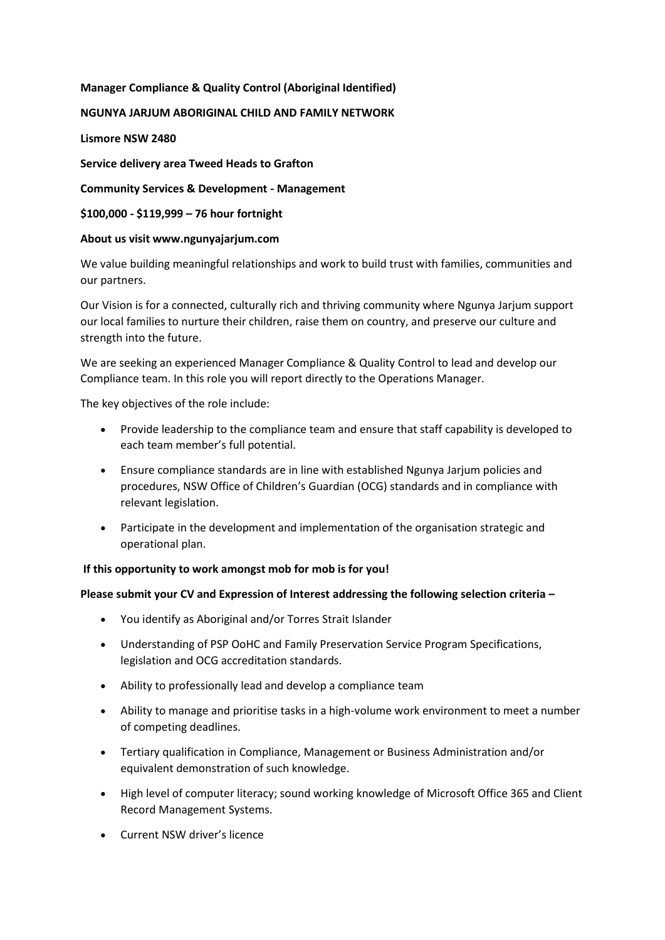# **Manager Compliance & Quality Control (Aboriginal Identified)**

# **NGUNYA JARJUM ABORIGINAL CHILD AND FAMILY NETWORK**

**Lismore NSW 2480**

**Service delivery area Tweed Heads to Grafton**

**Community Services & Development - Management**

**\$100,000 - \$119,999 – 76 hour fortnight**

# **About us visit www.ngunyajarjum.com**

We value building meaningful relationships and work to build trust with families, communities and our partners.

Our Vision is for a connected, culturally rich and thriving community where Ngunya Jarjum support our local families to nurture their children, raise them on country, and preserve our culture and strength into the future.

We are seeking an experienced Manager Compliance & Quality Control to lead and develop our Compliance team. In this role you will report directly to the Operations Manager.

The key objectives of the role include:

- Provide leadership to the compliance team and ensure that staff capability is developed to each team member's full potential.
- Ensure compliance standards are in line with established Ngunya Jarjum policies and procedures, NSW Office of Children's Guardian (OCG) standards and in compliance with relevant legislation.
- Participate in the development and implementation of the organisation strategic and operational plan.

#### **If this opportunity to work amongst mob for mob is for you!**

#### **Please submit your CV and Expression of Interest addressing the following selection criteria –**

- You identify as Aboriginal and/or Torres Strait Islander
- Understanding of PSP OoHC and Family Preservation Service Program Specifications, legislation and OCG accreditation standards.
- Ability to professionally lead and develop a compliance team
- Ability to manage and prioritise tasks in a high-volume work environment to meet a number of competing deadlines.
- Tertiary qualification in Compliance, Management or Business Administration and/or equivalent demonstration of such knowledge.
- High level of computer literacy; sound working knowledge of Microsoft Office 365 and Client Record Management Systems.
- Current NSW driver's licence